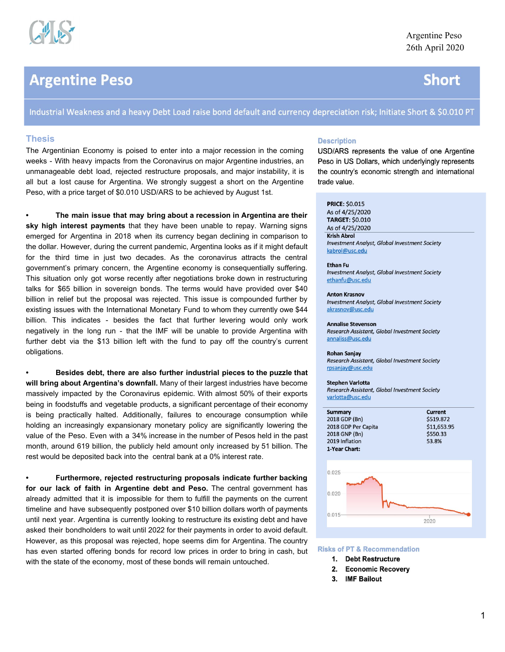

# **Argentine Peso**

# **Short**

Industrial Weakness and a heavy Debt Load raise bond default and currency depreciation risk; Initiate Short & \$0.010 PT

# **Thesis**

The Argentinian Economy is poised to enter into a major recession in the coming weeks - With heavy impacts from the Coronavirus on major Argentine industries, an unmanageable debt load, rejected restructure proposals, and major instability, it is all but a lost cause for Argentina. We strongly suggest a short on the Argentine Peso, with a price target of \$0.010 USD/ARS to be achieved by August 1st.

**• The main issue that may bring about a recession in Argentina are their sky high interest payments** that they have been unable to repay. Warning signs emerged for Argentina in 2018 when its currency began declining in comparison to the dollar. However, during the current pandemic, Argentina looks as if it might default for the third time in just two decades. As the coronavirus attracts the central government's primary concern, the Argentine economy is consequentially suffering. This situation only got worse recently after negotiations broke down in restructuring talks for \$65 billion in sovereign bonds. The terms would have provided over \$40 billion in relief but the proposal was rejected. This issue is compounded further by existing issues with the International Monetary Fund to whom they currently owe \$44 billion. This indicates - besides the fact that further levering would only work negatively in the long run - that the IMF will be unable to provide Argentina with further debt via the \$13 billion left with the fund to pay off the country's current obligations.

**• Besides debt, there are also further industrial pieces to the puzzle that will bring about Argentina's downfall.** Many of their largest industries have become massively impacted by the Coronavirus epidemic. With almost 50% of their exports being in foodstuffs and vegetable products, a significant percentage of their economy is being practically halted. Additionally, failures to encourage consumption while holding an increasingly expansionary monetary policy are significantly lowering the value of the Peso. Even with a 34% increase in the number of Pesos held in the past month, around 619 billion, the publicly held amount only increased by 51 billion. The rest would be deposited back into the central bank at a 0% interest rate.

**• Furthermore, rejected restructuring proposals indicate further backing for our lack of faith in Argentine debt and Peso.** The central government has already admitted that it is impossible for them to fulfill the payments on the current timeline and have subsequently postponed over \$10 billion dollars worth of payments until next year. Argentina is currently looking to restructure its existing debt and have asked their bondholders to wait until 2022 for their payments in order to avoid default. However, as this proposal was rejected, hope seems dim for Argentina. The country has even started offering bonds for record low prices in order to bring in cash, but with the state of the economy, most of these bonds will remain untouched.

# **Description**

USD/ARS represents the value of one Argentine Peso in US Dollars, which underlyingly represents the country's economic strength and international trade value.

### **PRICE: \$0.015**

As of 4/25/2020 **TARGET: \$0.010** As of 4/25/2020 **Krish Abrol** Investment Analyst, Global Investment Society kabrol@usc.edu

#### **Ethan Fu**

Investment Analyst, Global Investment Society ethanfu@usc.edu

#### **Anton Krasnov**

Investment Analyst, Global Investment Society akrasnov@usc.edu

#### **Annalise Stevenson**

Research Assistant, Global Investment Society annaliss@usc.edu

#### **Rohan Sanjay**

Research Assistant, Global Investment Society rpsanjay@usc.edu

#### **Stephen Varlotta**

Research Assistant, Global Investment Society varlotta@usc.edu

| <b>Current</b> |
|----------------|
| \$519.872      |
| \$11,653.95    |
| \$550.33       |
| 53.8%          |
|                |
|                |



#### **Risks of PT & Recommendation**

- 1. Debt Restructure
- 2. Economic Recovery
- 3. IMF Bailout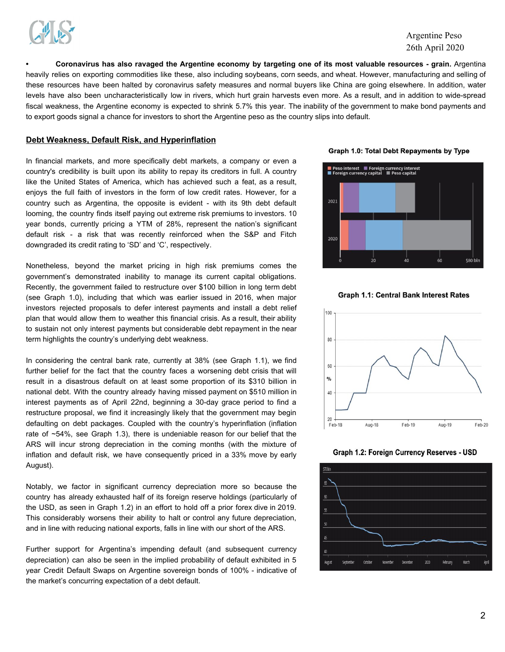

# Argentine Peso 26th April 2020

Coronavirus has also ravaged the Argentine economy by targeting one of its most valuable resources - grain. Argentina heavily relies on exporting commodities like these, also including soybeans, corn seeds, and wheat. However, manufacturing and selling of these resources have been halted by coronavirus safety measures and normal buyers like China are going elsewhere. In addition, water levels have also been uncharacteristically low in rivers, which hurt grain harvests even more. As a result, and in addition to wide-spread fiscal weakness, the Argentine economy is expected to shrink 5.7% this year. The inability of the government to make bond payments and to export goods signal a chance for investors to short the Argentine peso as the country slips into default.

# **Debt Weakness, Default Risk, and Hyperinflation**

In financial markets, and more specifically debt markets, a company or even a country's credibility is built upon its ability to repay its creditors in full. A country like the United States of America, which has achieved such a feat, as a result, enjoys the full faith of investors in the form of low credit rates. However, for a country such as Argentina, the opposite is evident - with its 9th debt default looming, the country finds itself paying out extreme risk premiums to investors. 10 year bonds, currently pricing a YTM of 28%, represent the nation's significant default risk - a risk that was recently reinforced when the S&P and Fitch downgraded its credit rating to 'SD' and 'C', respectively.

Nonetheless, beyond the market pricing in high risk premiums comes the government's demonstrated inability to manage its current capital obligations. Recently, the government failed to restructure over \$100 billion in long term debt (see Graph 1.0), including that which was earlier issued in 2016, when major investors rejected proposals to defer interest payments and install a debt relief plan that would allow them to weather this financial crisis. As a result, their ability to sustain not only interest payments but considerable debt repayment in the near term highlights the country's underlying debt weakness.

In considering the central bank rate, currently at 38% (see Graph 1.1), we find further belief for the fact that the country faces a worsening debt crisis that will result in a disastrous default on at least some proportion of its \$310 billion in national debt. With the country already having missed payment on \$510 million in interest payments as of April 22nd, beginning a 30-day grace period to find a restructure proposal, we find it increasingly likely that the government may begin defaulting on debt packages. Coupled with the country's hyperinflation (inflation rate of ~54%, see Graph 1.3), there is undeniable reason for our belief that the ARS will incur strong depreciation in the coming months (with the mixture of inflation and default risk, we have consequently priced in a 33% move by early August).

Notably, we factor in significant currency depreciation more so because the country has already exhausted half of its foreign reserve holdings (particularly of the USD, as seen in Graph 1.2) in an effort to hold off a prior forex dive in 2019. This considerably worsens their ability to halt or control any future depreciation, and in line with reducing national exports, falls in line with our short of the ARS.

Further support for Argentina's impending default (and subsequent currency depreciation) can also be seen in the implied probability of default exhibited in 5 year Credit Default Swaps on Argentine sovereign bonds of 100% - indicative of the market's concurring expectation of a debt default.

Graph 1.0: Total Debt Repayments by Type



**Graph 1.1: Central Bank Interest Rates** 



Graph 1.2: Foreign Currency Reserves - USD

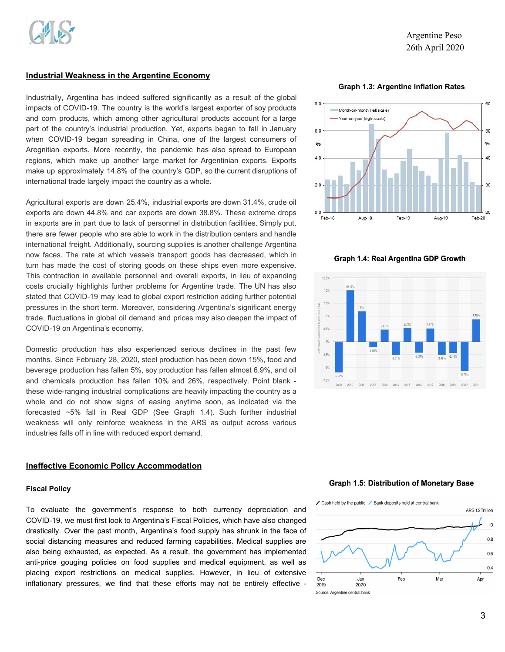# **Industrial Weakness in the Argentine Economy**

Industrially, Argentina has indeed suffered significantly as a result of the global impacts of COVID-19. The country is the world's largest exporter of soy products and corn products, which among other agricultural products account for a large part of the country's industrial production. Yet, exports began to fall in January when COVID-19 began spreading in China, one of the largest consumers of Aregnitian exports. More recently, the pandemic has also spread to European regions, which make up another large market for Argentinian exports. Exports make up approximately 14.8% of the country's GDP, so the current disruptions of international trade largely impact the country as a whole.

Agricultural exports are down 25.4%, industrial exports are down 31.4%, crude oil exports are down 44.8% and car exports are down 38.8%. These extreme drops in exports are in part due to lack of personnel in distribution facilities. Simply put, there are fewer people who are able to work in the distribution centers and handle international freight. Additionally, sourcing supplies is another challenge Argentina now faces. The rate at which vessels transport goods has decreased, which in turn has made the cost of storing goods on these ships even more expensive. This contraction in available personnel and overall exports, in lieu of expanding costs crucially highlights further problems for Argentine trade. The UN has also stated that COVID-19 may lead to global export restriction adding further potential pressures in the short term. Moreover, considering Argentina's significant energy trade, fluctuations in global oil demand and prices may also deepen the impact of COVID-19 on Argentina's economy.

Domestic production has also experienced serious declines in the past few months. Since February 28, 2020, steel production has been down 15%, food and beverage production has fallen 5%, soy production has fallen almost 6.9%, and oil and chemicals production has fallen 10% and 26%, respectively. Point blank these wide-ranging industrial complications are heavily impacting the country as a whole and do not show signs of easing anytime soon, as indicated via the forecasted ~5% fall in Real GDP (See Graph 1.4). Such further industrial weakness will only reinforce weakness in the ARS as output across various industries falls off in line with reduced export demand.

# **Ineffective Economic Policy Accommodation**

# **Fiscal Policy**

To evaluate the government's response to both currency depreciation and COVID-19, we must first look to Argentina's Fiscal Policies, which have also changed drastically. Over the past month, Argentina's food supply has shrunk in the face of social distancing measures and reduced farming capabilities. Medical supplies are also being exhausted, as expected. As a result, the government has implemented anti-price gouging policies on food supplies and medical equipment, as well as placing export restrictions on medical supplies. However, in lieu of extensive inflationary pressures, we find that these efforts may not be entirely effective -

**Graph 1.3: Argentine Inflation Rates**



Graph 1.4: Real Argentina GDP Growth



### **Graph 1.5: Distribution of Monetary Base**

✔ Cash held by the public / Bank deposits held at central bank